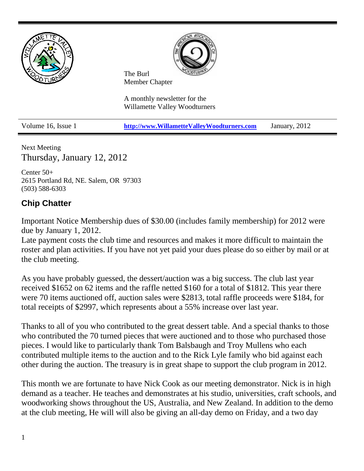

Next Meeting Thursday, January 12, 2012

Center 50+ 2615 Portland Rd, NE. Salem, OR 97303 (503) 588-6303

## **Chip Chatter**

Important Notice Membership dues of \$30.00 (includes family membership) for 2012 were due by January 1, 2012.

Late payment costs the club time and resources and makes it more difficult to maintain the roster and plan activities. If you have not yet paid your dues please do so either by mail or at the club meeting.

As you have probably guessed, the dessert/auction was a big success. The club last year received \$1652 on 62 items and the raffle netted \$160 for a total of \$1812. This year there were 70 items auctioned off, auction sales were \$2813, total raffle proceeds were \$184, for total receipts of \$2997, which represents about a 55% increase over last year.

Thanks to all of you who contributed to the great dessert table. And a special thanks to those who contributed the 70 turned pieces that were auctioned and to those who purchased those pieces. I would like to particularly thank Tom Balsbaugh and Troy Mullens who each contributed multiple items to the auction and to the Rick Lyle family who bid against each other during the auction. The treasury is in great shape to support the club program in 2012.

This month we are fortunate to have Nick Cook as our meeting demonstrator. Nick is in high demand as a teacher. He teaches and demonstrates at his studio, universities, craft schools, and woodworking shows throughout the US, Australia, and New Zealand. In addition to the demo at the club meeting, He will will also be giving an all-day demo on Friday, and a two day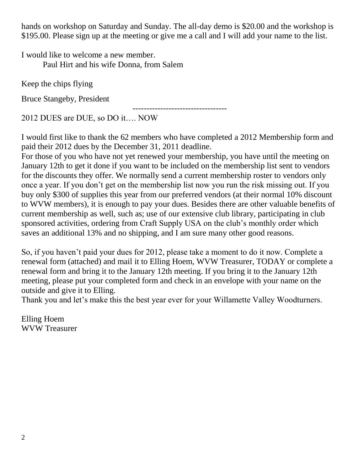hands on workshop on Saturday and Sunday. The all-day demo is \$20.00 and the workshop is \$195.00. Please sign up at the meeting or give me a call and I will add your name to the list.

I would like to welcome a new member. Paul Hirt and his wife Donna, from Salem

Keep the chips flying

Bruce Stangeby, President

2012 DUES are DUE, so DO it…. NOW

I would first like to thank the 62 members who have completed a 2012 Membership form and paid their 2012 dues by the December 31, 2011 deadline.

----------------------------------

For those of you who have not yet renewed your membership, you have until the meeting on January 12th to get it done if you want to be included on the membership list sent to vendors for the discounts they offer. We normally send a current membership roster to vendors only once a year. If you don't get on the membership list now you run the risk missing out. If you buy only \$300 of supplies this year from our preferred vendors (at their normal 10% discount to WVW members), it is enough to pay your dues. Besides there are other valuable benefits of current membership as well, such as; use of our extensive club library, participating in club sponsored activities, ordering from Craft Supply USA on the club's monthly order which saves an additional 13% and no shipping, and I am sure many other good reasons.

So, if you haven't paid your dues for 2012, please take a moment to do it now. Complete a renewal form (attached) and mail it to Elling Hoem, WVW Treasurer, TODAY or complete a renewal form and bring it to the January 12th meeting. If you bring it to the January 12th meeting, please put your completed form and check in an envelope with your name on the outside and give it to Elling.

Thank you and let's make this the best year ever for your Willamette Valley Woodturners.

Elling Hoem WVW Treasurer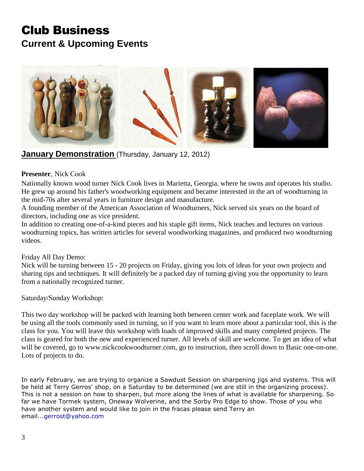# Club Business **Current & Upcoming Events**



**January Demonstration** (Thursday, January 12, 2012)

#### **Presenter**, Nick Cook

Nationally known wood turner Nick Cook lives in Marietta, Georgia, where he owns and operates his studio. He grew up around his father's woodworking equipment and became interested in the art of woodturning in the mid-70s after several years in furniture design and manufacture.

A founding member of the American Association of Woodturners, Nick served six years on the board of directors, including one as vice president.

In addition to creating one-of-a-kind pieces and his staple gift items, Nick teaches and lectures on various woodturning topics, has written articles for several woodworking magazines, and produced two woodturning videos.

#### Friday All Day Demo:

Nick will be turning between 15 - 20 projects on Friday, giving you lots of ideas for your own projects and sharing tips and techniques. It will definitely be a packed day of turning giving you the opportunity to learn from a nationally recognized turner.

Saturday/Sunday Workshop:

This two day workshop will be packed with learning both between center work and faceplate work. We will be using all the tools commonly used in turning, so if you want to learn more about a particular tool, this is the class for you. You will leave this workshop with loads of improved skills and many completed projects. The class is geared for both the new and experienced turner. All levels of skill are welcome. To get an idea of what will be covered, go to [www.nickcookwoodturner.com,](http://www.nickcookwoodturner.com/) go to instruction, then scroll down to Basic one-on-one. Lots of projects to do.

In early February, we are trying to organize a Sawdust Session on sharpening jigs and systems. This will be held at Terry Gerros' shop, on a Saturday to be determined (we are still in the organizing process). This is not a session on how to sharpen, but more along the lines of what is available for sharpening. So far we have Tormek system, Oneway Wolverine, and the Sorby Pro Edge to show. Those of you who have another system and would like to join in the fracas please send Terry an email...gerrost@yahoo.com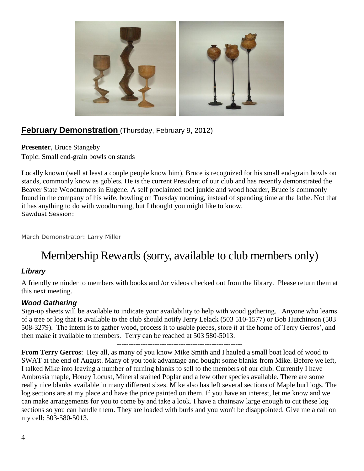

## **February Demonstration** (Thursday, February 9, 2012)

**Presenter**, Bruce Stangeby Topic: Small end-grain bowls on stands

Locally known (well at least a couple people know him), Bruce is recognized for his small end-grain bowls on stands, commonly know as goblets. He is the current President of our club and has recently demonstrated the Beaver State Woodturners in Eugene. A self proclaimed tool junkie and wood hoarder, Bruce is commonly found in the company of his wife, bowling on Tuesday morning, instead of spending time at the lathe. Not that it has anything to do with woodturning, but I thought you might like to know. Sawdust Session:

March Demonstrator: Larry Miller

# Membership Rewards (sorry, available to club members only)

### *Library*

A friendly reminder to members with books and /or videos checked out from the library. Please return them at this next meeting.

#### *Wood Gathering*

Sign-up sheets will be available to indicate your availability to help with wood gathering. Anyone who learns of a tree or log that is available to the club should notify Jerry Lelack (503 510-1577) or Bob Hutchinson (503 508-3279). The intent is to gather wood, process it to usable pieces, store it at the home of Terry Gerros', and then make it available to members. Terry can be reached at 503 580-5013.

-----------------------------------------------------

**From Terry Gerros**: Hey all, as many of you know Mike Smith and I hauled a small boat load of wood to SWAT at the end of August. Many of you took advantage and bought some blanks from Mike. Before we left, I talked Mike into leaving a number of turning blanks to sell to the members of our club. Currently I have Ambrosia maple, Honey Locust, Mineral stained Poplar and a few other species available. There are some really nice blanks available in many different sizes. Mike also has left several sections of Maple burl logs. The log sections are at my place and have the price painted on them. If you have an interest, let me know and we can make arrangements for you to come by and take a look. I have a chainsaw large enough to cut these log sections so you can handle them. They are loaded with burls and you won't be disappointed. Give me a call on my cell: 503-580-5013.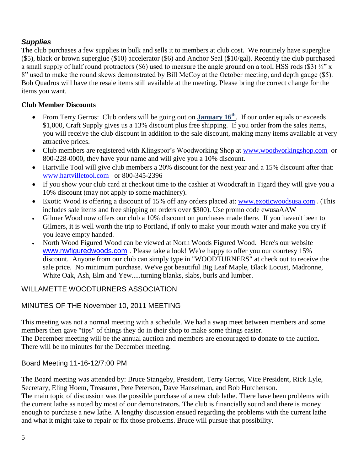### *Supplies*

The club purchases a few supplies in bulk and sells it to members at club cost. We routinely have superglue (\$5), black or brown superglue (\$10) accelerator (\$6) and Anchor Seal (\$10/gal). Recently the club purchased a small supply of half round protractors (\$6) used to measure the angle ground on a tool, HSS rods (\$3)  $\frac{1}{4}$ " x 8" used to make the round skews demonstrated by Bill McCoy at the October meeting, and depth gauge (\$5). Bob Quadros will have the resale items still available at the meeting. Please bring the correct change for the items you want.

#### **Club Member Discounts**

- From Terry Gerros: Club orders will be going out on **January 16th** . If our order equals or exceeds \$1,000, Craft Supply gives us a 13% discount plus free shipping. If you order from the sales items, you will receive the club discount in addition to the sale discount, making many items available at very attractive prices.
- Club members are registered with Klingspor's Woodworking Shop at [www.woodworkingshop.com](http://www.woodworkingshop.com/) or 800-228-0000, they have your name and will give you a 10% discount.
- Hartville Tool will give club members a 20% discount for the next year and a 15% discount after that: [www.hartvilletool.com](http://www.hartvilletool.com/) or 800-345-2396
- If you show your club card at checkout time to the cashier at Woodcraft in Tigard they will give you a 10% discount (may not apply to some machinery).
- Exotic Wood is offering a discount of 15% off any orders placed at: [www.exoticwoodsusa.com](http://www.exoticwoodsusa.com/). (This includes sale items and free shipping on orders over \$300). Use promo code ewusaAAW
- Gilmer Wood now offers our club a 10% discount on purchases made there. If you haven't been to Gilmers, it is well worth the trip to Portland, if only to make your mouth water and make you cry if you leave empty handed.
- North Wood Figured Wood can be viewed at North Woods Figured Wood. Here's our website [www.nwfiguredwoods.com](http://www.nwfiguredwoods.com/) . Please take a look! We're happy to offer you our courtesy 15% discount. Anyone from our club can simply type in "WOODTURNERS" at check out to receive the sale price. No minimum purchase. We've got beautiful Big Leaf Maple, Black Locust, Madronne, White Oak, Ash, Elm and Yew.....turning blanks, slabs, burls and lumber.

#### WILLAMETTE WOODTURNERS ASSOCIATION

#### MINUTES OF THE November 10, 2011 MEETING

This meeting was not a normal meeting with a schedule. We had a swap meet between members and some members then gave "tips" of things they do in their shop to make some things easier. The December meeting will be the annual auction and members are encouraged to donate to the auction. There will be no minutes for the December meeting.

#### Board Meeting 11-16-12/7:00 PM

The Board meeting was attended by: Bruce Stangeby, President, Terry Gerros, Vice President, Rick Lyle, Secretary, Eling Hoem, Treasurer, Pete Peterson, Dave Hanselman, and Bob Hutchenson. The main topic of discussion was the possible purchase of a new club lathe. There have been problems with the current lathe as noted by most of our demonstrators. The club is financially sound and there is money enough to purchase a new lathe. A lengthy discussion ensued regarding the problems with the current lathe and what it might take to repair or fix those problems. Bruce will pursue that possibility.